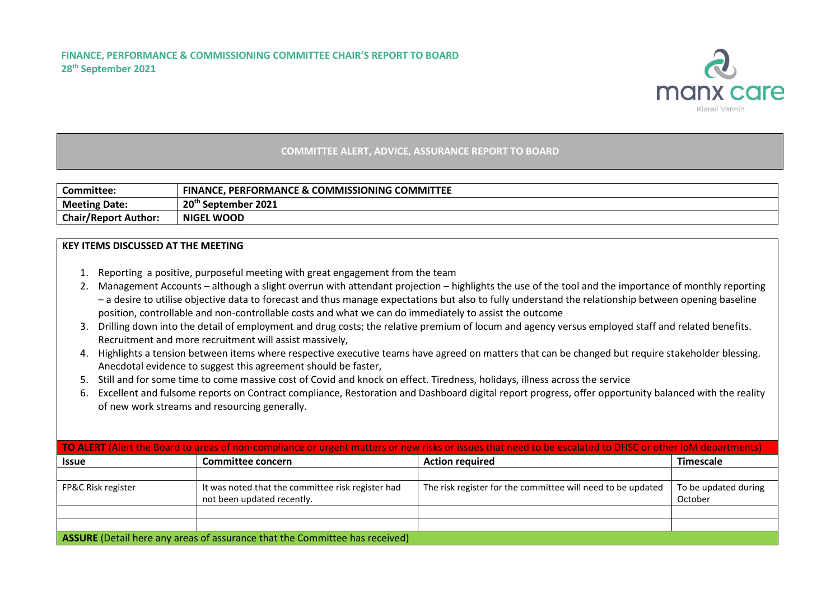

## **COMMITTEE ALERT, ADVICE, ASSURANCE REPORT TO BOARD**

| Committee:                  | <b>COMMISSIONING COMMITTEE</b><br><b>FINANCE, PERFORMANCE</b><br>CE & C |
|-----------------------------|-------------------------------------------------------------------------|
| <b>Meeting Date:</b>        | 20 <sup>th</sup><br>September 2021                                      |
| <b>Chair/Report Author:</b> | <b>NIGEL WOOD</b>                                                       |

## **KEY ITEMS DISCUSSED AT THE MEETING**

- 1. Reporting a positive, purposeful meeting with great engagement from the team
- 2. Management Accounts although a slight overrun with attendant projection highlights the use of the tool and the importance of monthly reporting – a desire to utilise objective data to forecast and thus manage expectations but also to fully understand the relationship between opening baseline position, controllable and non-controllable costs and what we can do immediately to assist the outcome
- 3. Drilling down into the detail of employment and drug costs; the relative premium of locum and agency versus employed staff and related benefits. Recruitment and more recruitment will assist massively,
- 4. Highlights a tension between items where respective executive teams have agreed on matters that can be changed but require stakeholder blessing. Anecdotal evidence to suggest this agreement should be faster,
- 5. Still and for some time to come massive cost of Covid and knock on effect. Tiredness, holidays, illness across the service
- 6. Excellent and fulsome reports on Contract compliance, Restoration and Dashboard digital report progress, offer opportunity balanced with the reality of new work streams and resourcing generally.

| TO ALERT (Alert the Board to areas of non-compliance or urgent matters or new risks or issues that need to be escalated to DHSC or other IoM departments) |                                                                                 |                                                             |                                 |  |  |  |  |
|-----------------------------------------------------------------------------------------------------------------------------------------------------------|---------------------------------------------------------------------------------|-------------------------------------------------------------|---------------------------------|--|--|--|--|
| <b>Issue</b>                                                                                                                                              | <b>Committee concern</b>                                                        | <b>Action required</b>                                      | <b>Timescale</b>                |  |  |  |  |
|                                                                                                                                                           |                                                                                 |                                                             |                                 |  |  |  |  |
| FP&C Risk register                                                                                                                                        | It was noted that the committee risk register had<br>not been updated recently. | The risk register for the committee will need to be updated | To be updated during<br>October |  |  |  |  |
|                                                                                                                                                           |                                                                                 |                                                             |                                 |  |  |  |  |
|                                                                                                                                                           |                                                                                 |                                                             |                                 |  |  |  |  |
| ASSURE (Detail here any areas of assurance that the Committee has received)                                                                               |                                                                                 |                                                             |                                 |  |  |  |  |